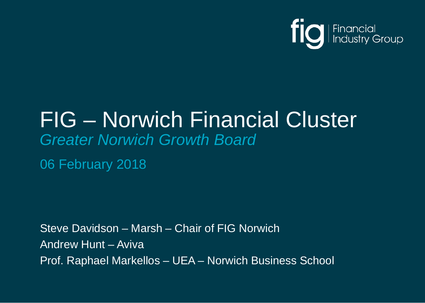

## FIG – Norwich Financial Cluster *Greater Norwich Growth Board*

06 February 2018

Steve Davidson – Marsh – Chair of FIG Norwich Andrew Hunt – Aviva Prof. Raphael Markellos – UEA – Norwich Business School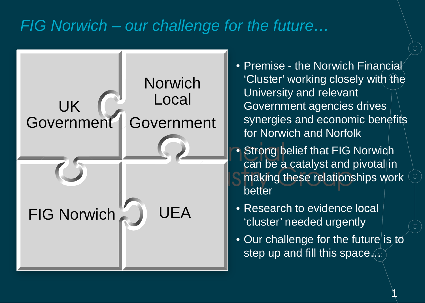#### *FIG Norwich – our challenge for the future…*



• Premise - the Norwich Financial 'Cluster' working closely with the University and relevant Government agencies drives synergies and economic benefits for Norwich and Norfolk

- Strong belief that FIG Norwich can be a catalyst and pivotal in making these relationships work better
- Research to evidence local 'cluster' needed urgently
- Our challenge for the future is to step up and fill this space...

 $\mathcal{A}$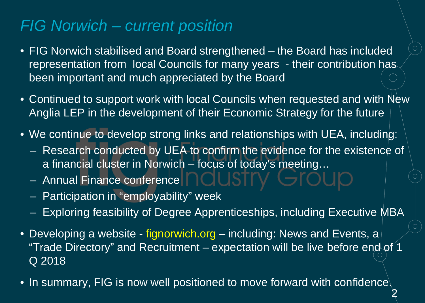#### *FIG Norwich – current position*

- FIG Norwich stabilised and Board strengthened the Board has included representation from local Councils for many years - their contribution has been important and much appreciated by the Board
- Continued to support work with local Councils when requested and with New Anglia LEP in the development of their Economic Strategy for the future
- We continue to develop strong links and relationships with UEA, including:
	- Research conducted by UEA to confirm the evidence for the existence of a financial cluster in Norwich – focus of today's meeting…
	- Annual Finance conference
	- Participation in "employability" week
	- Exploring feasibility of Degree Apprenticeships, including Executive MBA
- Developing a website fignorwich.org including: News and Events, a "Trade Directory" and Recruitment – expectation will be live before end of 1 Q 2018
- In summary, FIG is now well positioned to move forward with confidence. 2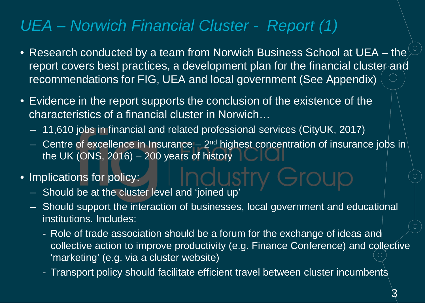#### *UEA – Norwich Financial Cluster - Report (1)*

- Research conducted by a team from Norwich Business School at UEA the report covers best practices, a development plan for the financial cluster and recommendations for FIG, UEA and local government (See Appendix)
- Evidence in the report supports the conclusion of the existence of the characteristics of a financial cluster in Norwich…
	- 11,610 jobs in financial and related professional services (CityUK, 2017)
	- Centre of excellence in Insurance  $2<sup>nd</sup>$  highest concentration of insurance jobs in the UK (ONS, 2016) – 200 years of history
- Implications for policy:
	- Should be at the cluster level and 'joined up'
	- Should support the interaction of businesses, local government and educational institutions. Includes:
		- Role of trade association should be a forum for the exchange of ideas and collective action to improve productivity (e.g. Finance Conference) and collective 'marketing' (e.g. via a cluster website)
		- Transport policy should facilitate efficient travel between cluster incumbents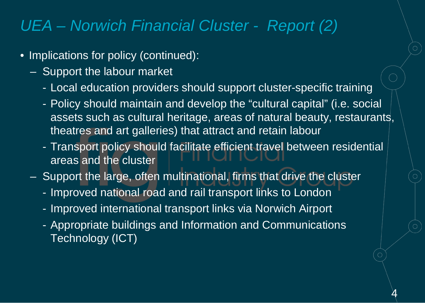#### *UEA – Norwich Financial Cluster - Report (2)*

- Implications for policy (continued):
	- Support the labour market
		- Local education providers should support cluster-specific training
		- Policy should maintain and develop the "cultural capital" (i.e. social assets such as cultural heritage, areas of natural beauty, restaurants, theatres and art galleries) that attract and retain labour
		- Transport policy should facilitate efficient travel between residential areas and the cluster

<u>प</u>

- Support the large, often multinational, firms that drive the cluster
	- Improved national road and rail transport links to London
	- Improved international transport links via Norwich Airport
	- Appropriate buildings and Information and Communications Technology (ICT)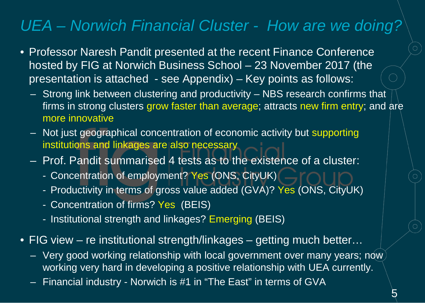#### *UEA – Norwich Financial Cluster - How are we doing?*

- Professor Naresh Pandit presented at the recent Finance Conference hosted by FIG at Norwich Business School – 23 November 2017 (the presentation is attached - see Appendix) – Key points as follows:
	- Strong link between clustering and productivity NBS research confirms that firms in strong clusters grow faster than average; attracts new firm entry; and are more innovative
	- Not just geographical concentration of economic activity but supporting institutions and linkages are also necessary
	- Prof. Pandit summarised 4 tests as to the existence of a cluster:
		- Concentration of employment? Yes (ONS, CityUK)
		- Productivity in terms of gross value added (GVA)? Yes (ONS, CityUK)
		- Concentration of firms? Yes (BEIS)
		- Institutional strength and linkages? Emerging (BEIS)
- FIG view re institutional strength/linkages getting much better...
	- Very good working relationship with local government over many years; now working very hard in developing a positive relationship with UEA currently.
	- Financial industry Norwich is #1 in "The East" in terms of GVA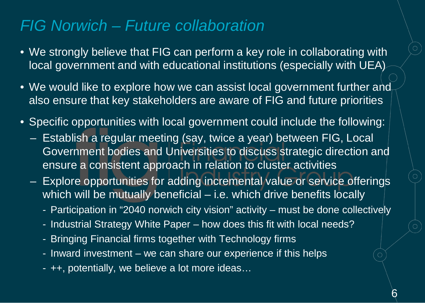#### *FIG Norwich – Future collaboration*

- We strongly believe that FIG can perform a key role in collaborating with local government and with educational institutions (especially with UEA)
- We would like to explore how we can assist local government further and also ensure that key stakeholders are aware of FIG and future priorities
- Specific opportunities with local government could include the following:
	- Establish a regular meeting (say, twice a year) between FIG, Local Government bodies and Universities to discuss strategic direction and ensure a consistent approach in relation to cluster activities
	- Explore opportunities for adding incremental value or service offerings which will be mutually beneficial – i.e. which drive benefits locally
		- Participation in "2040 norwich city vision" activity must be done collectively
		- Industrial Strategy White Paper how does this fit with local needs?
		- Bringing Financial firms together with Technology firms
		- Inward investment we can share our experience if this helps
		- ++, potentially, we believe a lot more ideas…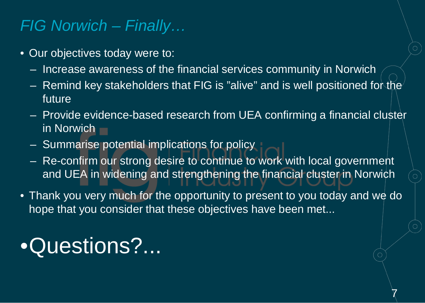#### *FIG Norwich – Finally…*

- Our objectives today were to:
	- Increase awareness of the financial services community in Norwich
	- Remind key stakeholders that FIG is "alive" and is well positioned for the future
	- Provide evidence-based research from UEA confirming a financial cluster in Norwich
	- Summarise potential implications for policy
	- Re-confirm our strong desire to continue to work with local government and UEA in widening and strengthening the financial cluster in Norwich
- Thank you very much for the opportunity to present to you today and we do hope that you consider that these objectives have been met...

 $\overline{\chi}$ 

# •Questions?...